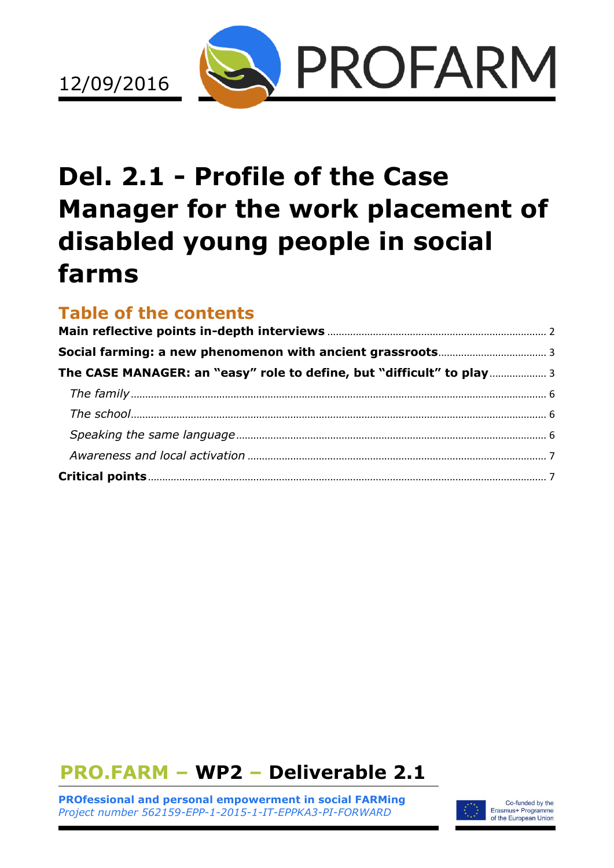

# **Del. 2.1 - Profile of the Case Manager for the work placement of disabled young people in social farms**

# **Table of the contents**

| The CASE MANAGER: an "easy" role to define, but "difficult" to play 3 |
|-----------------------------------------------------------------------|
|                                                                       |
|                                                                       |
|                                                                       |
|                                                                       |
|                                                                       |
|                                                                       |

# **PRO.FARM – WP2 – Deliverable 2.1**

**PROfessional and personal empowerment in social FARMing** *Project number 562159-EPP-1-2015-1-IT-EPPKA3-PI-FORWARD*

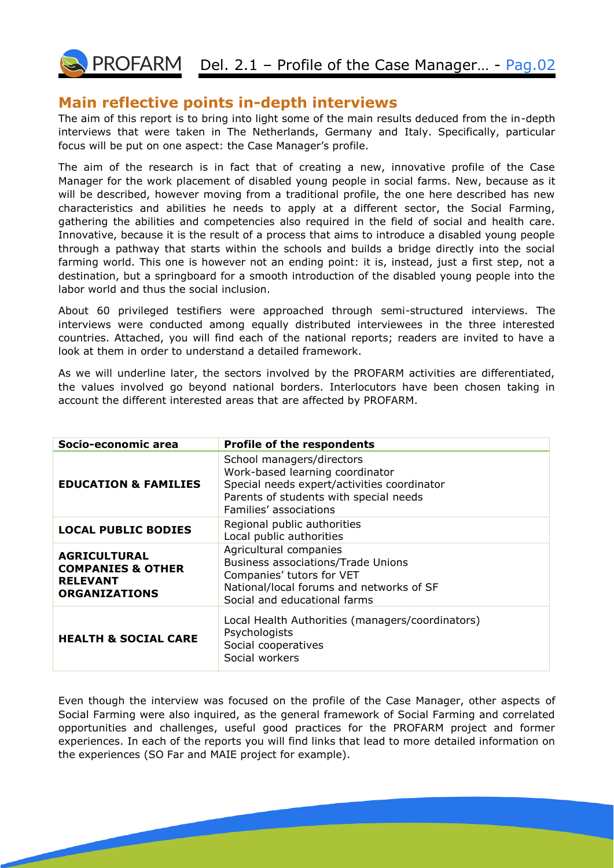PROFARM Del. 2.1 - Profile of the Case Manager... - Pag.02

#### <span id="page-1-0"></span>**Main reflective points in-depth interviews**

The aim of this report is to bring into light some of the main results deduced from the in-depth interviews that were taken in The Netherlands, Germany and Italy. Specifically, particular focus will be put on one aspect: the Case Manager's profile.

The aim of the research is in fact that of creating a new, innovative profile of the Case Manager for the work placement of disabled young people in social farms. New, because as it will be described, however moving from a traditional profile, the one here described has new characteristics and abilities he needs to apply at a different sector, the Social Farming, gathering the abilities and competencies also required in the field of social and health care. Innovative, because it is the result of a process that aims to introduce a disabled young people through a pathway that starts within the schools and builds a bridge directly into the social farming world. This one is however not an ending point: it is, instead, just a first step, not a destination, but a springboard for a smooth introduction of the disabled young people into the labor world and thus the social inclusion.

About 60 privileged testifiers were approached through semi-structured interviews. The interviews were conducted among equally distributed interviewees in the three interested countries. Attached, you will find each of the national reports; readers are invited to have a look at them in order to understand a detailed framework.

As we will underline later, the sectors involved by the PROFARM activities are differentiated, the values involved go beyond national borders. Interlocutors have been chosen taking in account the different interested areas that are affected by PROFARM.

| Socio-economic area                                                                            | <b>Profile of the respondents</b>                                                                                                                                               |
|------------------------------------------------------------------------------------------------|---------------------------------------------------------------------------------------------------------------------------------------------------------------------------------|
| <b>EDUCATION &amp; FAMILIES</b>                                                                | School managers/directors<br>Work-based learning coordinator<br>Special needs expert/activities coordinator<br>Parents of students with special needs<br>Families' associations |
| <b>LOCAL PUBLIC BODIES</b>                                                                     | Regional public authorities<br>Local public authorities                                                                                                                         |
| <b>AGRICULTURAL</b><br><b>COMPANIES &amp; OTHER</b><br><b>RELEVANT</b><br><b>ORGANIZATIONS</b> | Agricultural companies<br><b>Business associations/Trade Unions</b><br>Companies' tutors for VET<br>National/local forums and networks of SF<br>Social and educational farms    |
| <b>HEALTH &amp; SOCIAL CARE</b>                                                                | Local Health Authorities (managers/coordinators)<br>Psychologists<br>Social cooperatives<br>Social workers                                                                      |

Even though the interview was focused on the profile of the Case Manager, other aspects of Social Farming were also inquired, as the general framework of Social Farming and correlated opportunities and challenges, useful good practices for the PROFARM project and former experiences. In each of the reports you will find links that lead to more detailed information on the experiences (SO Far and MAIE project for example).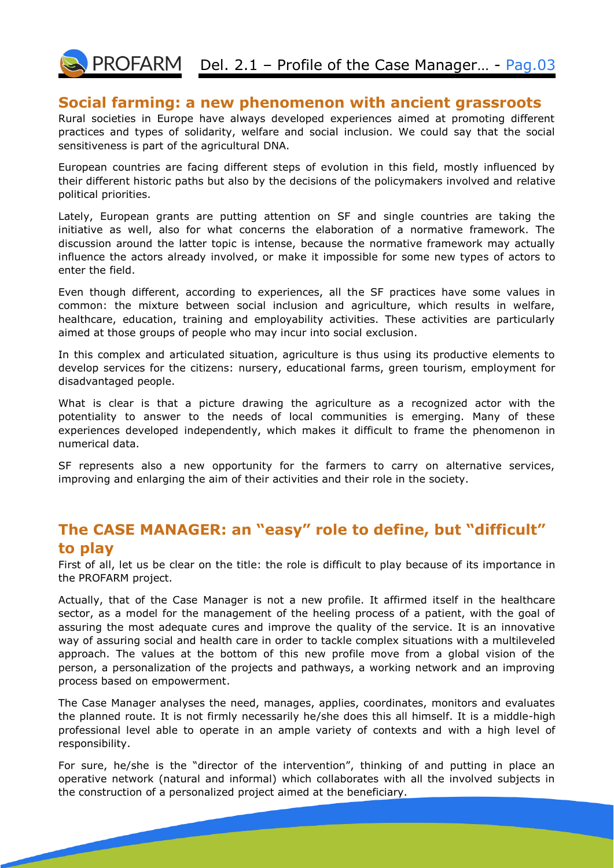

#### <span id="page-2-0"></span>**Social farming: a new phenomenon with ancient grassroots**

Rural societies in Europe have always developed experiences aimed at promoting different practices and types of solidarity, welfare and social inclusion. We could say that the social sensitiveness is part of the agricultural DNA.

European countries are facing different steps of evolution in this field, mostly influenced by their different historic paths but also by the decisions of the policymakers involved and relative political priorities.

Lately, European grants are putting attention on SF and single countries are taking the initiative as well, also for what concerns the elaboration of a normative framework. The discussion around the latter topic is intense, because the normative framework may actually influence the actors already involved, or make it impossible for some new types of actors to enter the field.

Even though different, according to experiences, all the SF practices have some values in common: the mixture between social inclusion and agriculture, which results in welfare, healthcare, education, training and employability activities. These activities are particularly aimed at those groups of people who may incur into social exclusion.

In this complex and articulated situation, agriculture is thus using its productive elements to develop services for the citizens: nursery, educational farms, green tourism, employment for disadvantaged people.

What is clear is that a picture drawing the agriculture as a recognized actor with the potentiality to answer to the needs of local communities is emerging. Many of these experiences developed independently, which makes it difficult to frame the phenomenon in numerical data.

SF represents also a new opportunity for the farmers to carry on alternative services, improving and enlarging the aim of their activities and their role in the society.

### <span id="page-2-1"></span>**The CASE MANAGER: an "easy" role to define, but "difficult" to play**

First of all, let us be clear on the title: the role is difficult to play because of its importance in the PROFARM project.

Actually, that of the Case Manager is not a new profile. It affirmed itself in the healthcare sector, as a model for the management of the heeling process of a patient, with the goal of assuring the most adequate cures and improve the quality of the service. It is an innovative way of assuring social and health care in order to tackle complex situations with a multileveled approach. The values at the bottom of this new profile move from a global vision of the person, a personalization of the projects and pathways, a working network and an improving process based on empowerment.

The Case Manager analyses the need, manages, applies, coordinates, monitors and evaluates the planned route. It is not firmly necessarily he/she does this all himself. It is a middle-high professional level able to operate in an ample variety of contexts and with a high level of responsibility.

For sure, he/she is the "director of the intervention", thinking of and putting in place an operative network (natural and informal) which collaborates with all the involved subjects in the construction of a personalized project aimed at the beneficiary.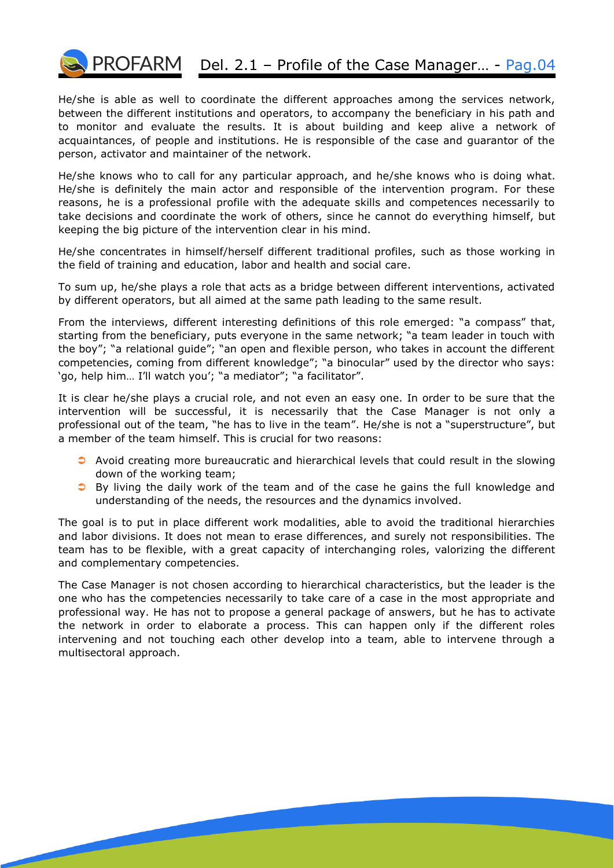

# PROFARM Del. 2.1 - Profile of the Case Manager... - Pag.04

He/she is able as well to coordinate the different approaches among the services network, between the different institutions and operators, to accompany the beneficiary in his path and to monitor and evaluate the results. It is about building and keep alive a network of acquaintances, of people and institutions. He is responsible of the case and guarantor of the person, activator and maintainer of the network.

He/she knows who to call for any particular approach, and he/she knows who is doing what. He/she is definitely the main actor and responsible of the intervention program. For these reasons, he is a professional profile with the adequate skills and competences necessarily to take decisions and coordinate the work of others, since he cannot do everything himself, but keeping the big picture of the intervention clear in his mind.

He/she concentrates in himself/herself different traditional profiles, such as those working in the field of training and education, labor and health and social care.

To sum up, he/she plays a role that acts as a bridge between different interventions, activated by different operators, but all aimed at the same path leading to the same result.

From the interviews, different interesting definitions of this role emerged: "a compass" that, starting from the beneficiary, puts everyone in the same network; "a team leader in touch with the boy"; "a relational guide"; "an open and flexible person, who takes in account the different competencies, coming from different knowledge"; "a binocular" used by the director who says: 'go, help him… I'll watch you'; "a mediator"; "a facilitator".

It is clear he/she plays a crucial role, and not even an easy one. In order to be sure that the intervention will be successful, it is necessarily that the Case Manager is not only a professional out of the team, "he has to live in the team". He/she is not a "superstructure", but a member of the team himself. This is crucial for two reasons:

- $\bullet$  Avoid creating more bureaucratic and hierarchical levels that could result in the slowing down of the working team;
- **C** By living the daily work of the team and of the case he gains the full knowledge and understanding of the needs, the resources and the dynamics involved.

The goal is to put in place different work modalities, able to avoid the traditional hierarchies and labor divisions. It does not mean to erase differences, and surely not responsibilities. The team has to be flexible, with a great capacity of interchanging roles, valorizing the different and complementary competencies.

The Case Manager is not chosen according to hierarchical characteristics, but the leader is the one who has the competencies necessarily to take care of a case in the most appropriate and professional way. He has not to propose a general package of answers, but he has to activate the network in order to elaborate a process. This can happen only if the different roles intervening and not touching each other develop into a team, able to intervene through a multisectoral approach.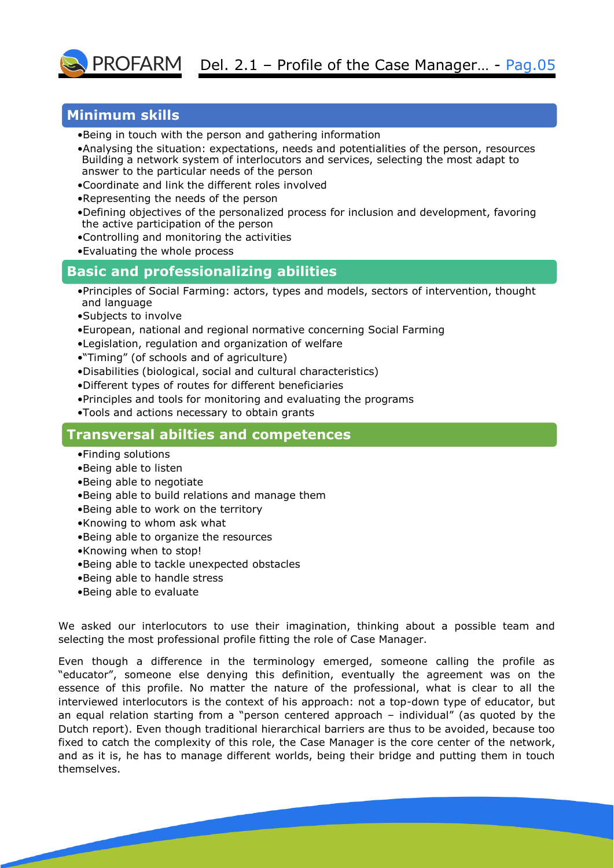

#### **Minimum skills**

- •Being in touch with the person and gathering information
- •Analysing the situation: expectations, needs and potentialities of the person, resources Building a network system of interlocutors and services, selecting the most adapt to answer to the particular needs of the person
- •Coordinate and link the different roles involved
- •Representing the needs of the person
- •Defining objectives of the personalized process for inclusion and development, favoring the active participation of the person
- •Controlling and monitoring the activities
- •Evaluating the whole process

#### **Basic and professionalizing abilities**

- •Principles of Social Farming: actors, types and models, sectors of intervention, thought and language
- •Subjects to involve
- •European, national and regional normative concerning Social Farming
- •Legislation, regulation and organization of welfare
- •"Timing" (of schools and of agriculture)
- •Disabilities (biological, social and cultural characteristics)
- •Different types of routes for different beneficiaries
- •Principles and tools for monitoring and evaluating the programs
- •Tools and actions necessary to obtain grants

#### **Transversal abilties and competences**

- •Finding solutions
- •Being able to listen
- •Being able to negotiate
- •Being able to build relations and manage them
- •Being able to work on the territory
- •Knowing to whom ask what
- •Being able to organize the resources
- •Knowing when to stop!
- •Being able to tackle unexpected obstacles
- •Being able to handle stress
- •Being able to evaluate

We asked our interlocutors to use their imagination, thinking about a possible team and selecting the most professional profile fitting the role of Case Manager.

Even though a difference in the terminology emerged, someone calling the profile as "educator", someone else denying this definition, eventually the agreement was on the essence of this profile. No matter the nature of the professional, what is clear to all the interviewed interlocutors is the context of his approach: not a top-down type of educator, but an equal relation starting from a "person centered approach – individual" (as quoted by the Dutch report). Even though traditional hierarchical barriers are thus to be avoided, because too fixed to catch the complexity of this role, the Case Manager is the core center of the network, and as it is, he has to manage different worlds, being their bridge and putting them in touch themselves.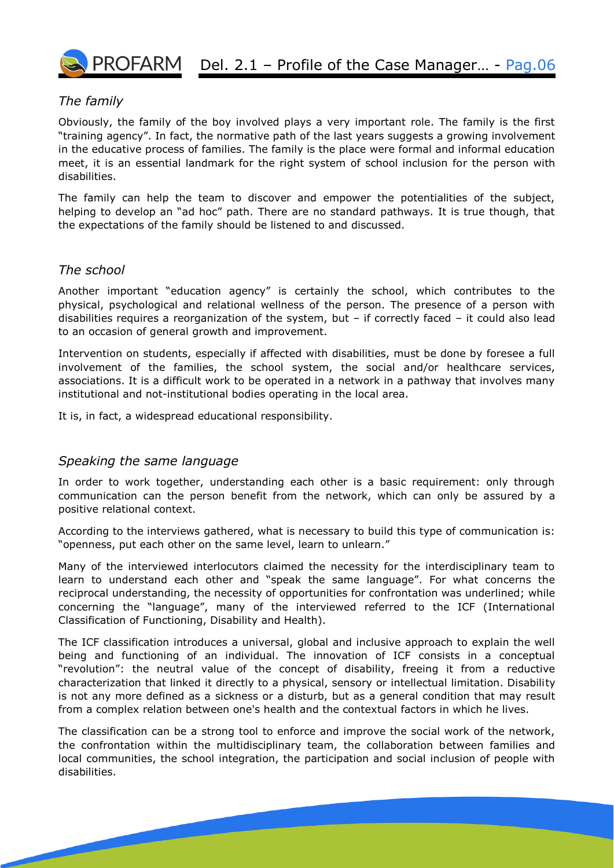

## $\overline{O}$  PROFARM Del. 2.1 – Profile of the Case Manager... - Pag.06

#### <span id="page-5-0"></span>*The family*

Obviously, the family of the boy involved plays a very important role. The family is the first "training agency". In fact, the normative path of the last years suggests a growing involvement in the educative process of families. The family is the place were formal and informal education meet, it is an essential landmark for the right system of school inclusion for the person with disabilities.

The family can help the team to discover and empower the potentialities of the subject, helping to develop an "ad hoc" path. There are no standard pathways. It is true though, that the expectations of the family should be listened to and discussed.

#### <span id="page-5-1"></span>*The school*

Another important "education agency" is certainly the school, which contributes to the physical, psychological and relational wellness of the person. The presence of a person with disabilities requires a reorganization of the system, but  $-$  if correctly faced  $-$  it could also lead to an occasion of general growth and improvement.

Intervention on students, especially if affected with disabilities, must be done by foresee a full involvement of the families, the school system, the social and/or healthcare services, associations. It is a difficult work to be operated in a network in a pathway that involves many institutional and not-institutional bodies operating in the local area.

It is, in fact, a widespread educational responsibility.

#### <span id="page-5-2"></span>*Speaking the same language*

In order to work together, understanding each other is a basic requirement: only through communication can the person benefit from the network, which can only be assured by a positive relational context.

According to the interviews gathered, what is necessary to build this type of communication is: "openness, put each other on the same level, learn to unlearn."

Many of the interviewed interlocutors claimed the necessity for the interdisciplinary team to learn to understand each other and "speak the same language". For what concerns the reciprocal understanding, the necessity of opportunities for confrontation was underlined; while concerning the "language", many of the interviewed referred to the ICF (International Classification of Functioning, Disability and Health).

The ICF classification introduces a universal, global and inclusive approach to explain the well being and functioning of an individual. The innovation of ICF consists in a conceptual "revolution": the neutral value of the concept of disability, freeing it from a reductive characterization that linked it directly to a physical, sensory or intellectual limitation. Disability is not any more defined as a sickness or a disturb, but as a general condition that may result from a complex relation between one's health and the contextual factors in which he lives.

The classification can be a strong tool to enforce and improve the social work of the network, the confrontation within the multidisciplinary team, the collaboration between families and local communities, the school integration, the participation and social inclusion of people with disabilities.